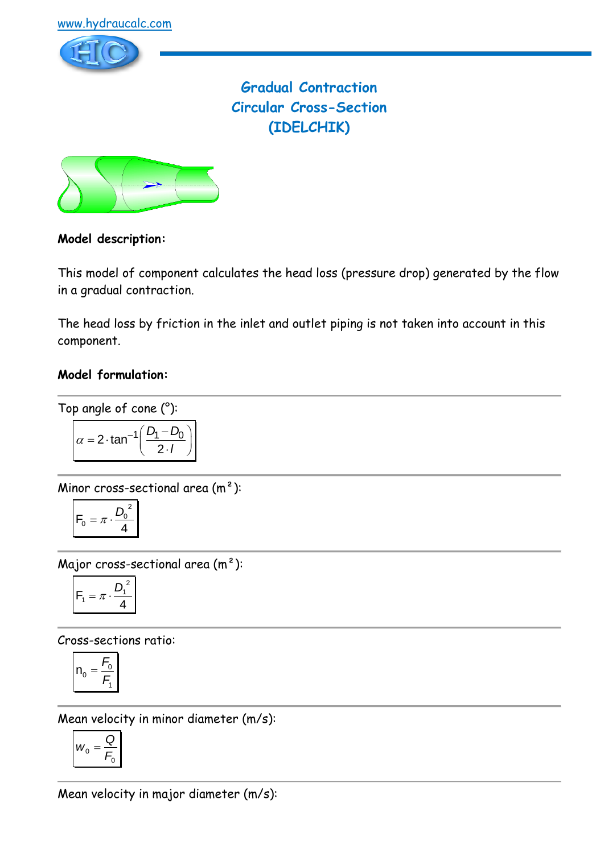

**Gradual Contraction Circular Cross-Section (IDELCHIK)**



# **Model description:**

This model of component calculates the head loss (pressure drop) generated by the flow in a gradual contraction.

The head loss by friction in the inlet and outlet piping is not taken into account in this component.

# **Model formulation:**

Top angle of cone (°):

$$
\alpha = 2 \cdot \tan^{-1} \left( \frac{D_1 - D_0}{2 \cdot I} \right)
$$

Minor cross-sectional area (m²):

$$
F_0 = \pi \cdot \frac{D_0^2}{4}
$$

Major cross-sectional area (m²):

$$
F_1 = \pi \cdot \frac{D_1^2}{4}
$$

Cross-sections ratio:

$$
n_0 = \frac{F_0}{F_1}
$$

Mean velocity in minor diameter (m/s):

$$
W_0 = \frac{Q}{F_0}
$$

Mean velocity in major diameter (m/s):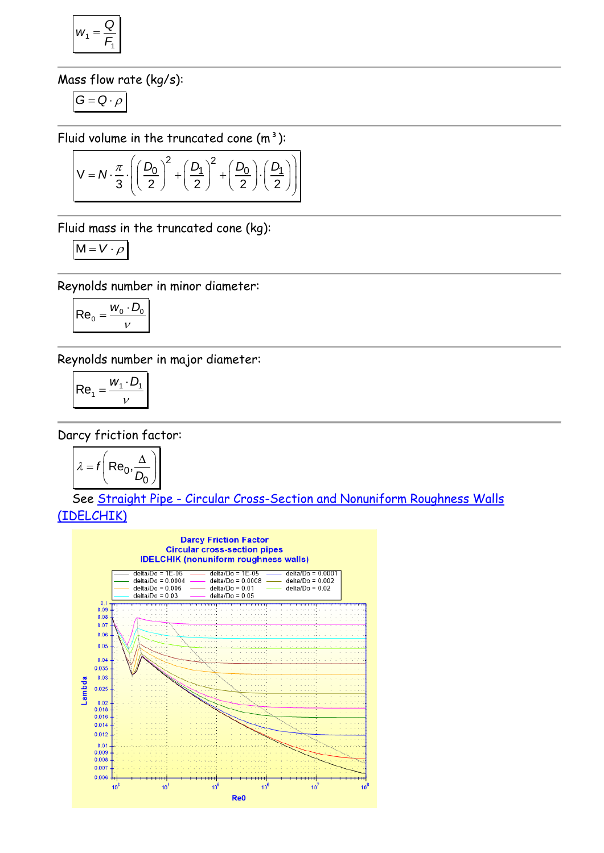$$
w_1 = \frac{Q}{F_1}
$$

Mass flow rate (kg/s):

$$
G=Q\cdot \rho
$$

$$
\text{Fluid volume in the truncated cone (m}^3):
$$
\n
$$
V = N \cdot \frac{\pi}{3} \cdot \left( \left( \frac{D_0}{2} \right)^2 + \left( \frac{D_1}{2} \right)^2 + \left( \frac{D_0}{2} \right) \cdot \left( \frac{D_1}{2} \right) \right)
$$

Fluid mass in the truncated cone (kg):

$$
M = V \cdot \rho
$$

Reynolds number in minor diameter:

$$
\left| \text{Re}_0 = \frac{w_0 \cdot D_0}{v} \right|
$$

Reynolds number in major diameter:

$$
\left| \text{Re}_1 = \frac{w_1 \cdot D_1}{v} \right|
$$

Darcy friction factor:

$$
\lambda = f\left(\text{Re}_0, \frac{\Delta}{D_0}\right)
$$

 See Straight Pipe - [Circular Cross-Section and Nonuniform Roughness Walls](../../Tuyau%20rectiligne/Tuyau%20rectiligne%20-%20Section%20circulaire/IDELCHIK%20(nonuniform%20roughness%20walls).htm)  [\(IDELCHIK\)](../../Tuyau%20rectiligne/Tuyau%20rectiligne%20-%20Section%20circulaire/IDELCHIK%20(nonuniform%20roughness%20walls).htm)

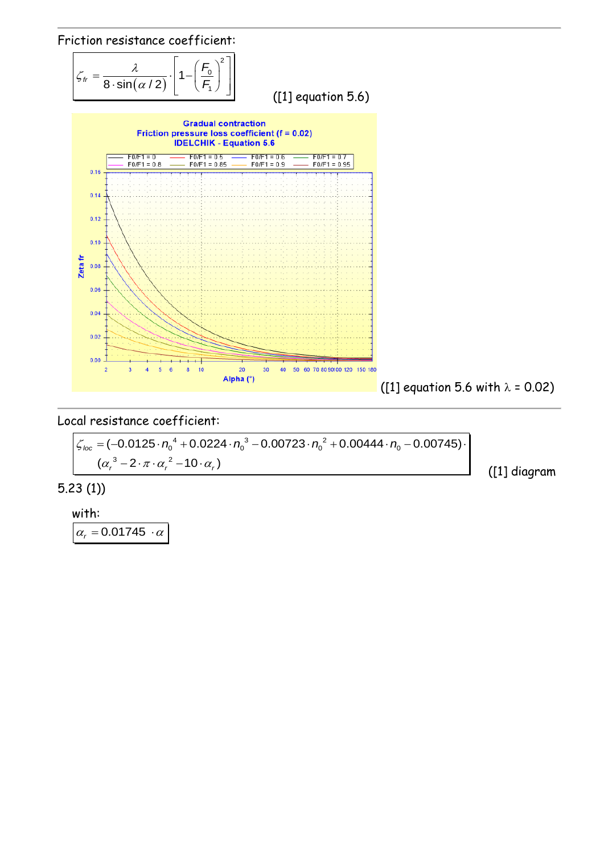

Local resistance coefficient:  
\n
$$
\frac{\zeta_{loc} = (-0.0125 \cdot n_0^4 + 0.0224 \cdot n_0^3 - 0.00723 \cdot n_0^2 + 0.00444 \cdot n_0 - 0.00745) \cdot (\alpha_r^3 - 2 \cdot \pi \cdot \alpha_r^2 - 10 \cdot \alpha_r)}
$$
\n(11 diagram)

5.23 (1))

with:

 $\alpha_r = 0.01745 \cdot \alpha$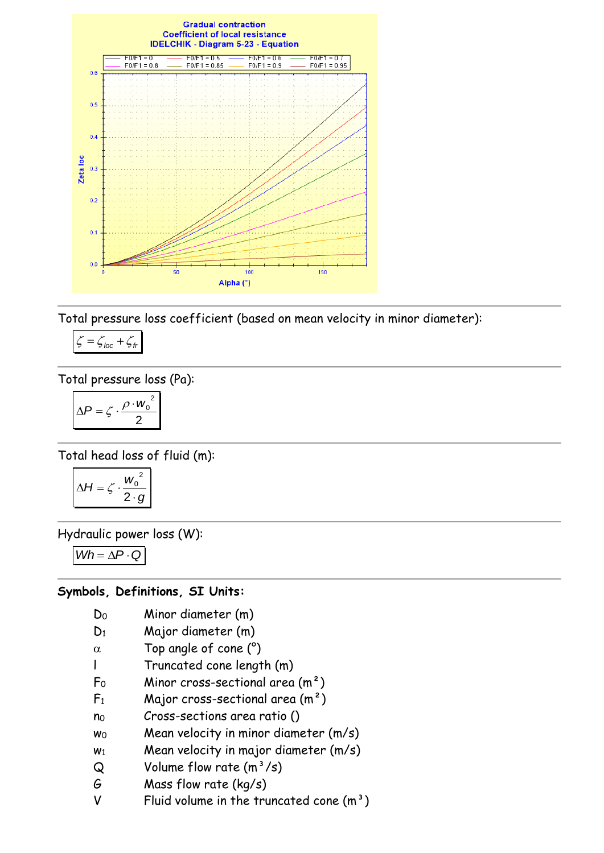

Total pressure loss coefficient (based on mean velocity in minor diameter):

$$
\zeta = \zeta_{loc} + \zeta_{tr}
$$

Total pressure loss (Pa):

$$
\Delta P = \zeta \cdot \frac{\rho \cdot w_0^2}{2}
$$

Total head loss of fluid (m):

$$
\Delta H = \zeta \cdot \frac{w_0^2}{2 \cdot g}
$$

Hydraulic power loss (W):

$$
Wh = \Delta P \cdot Q
$$

## **Symbols, Definitions, SI Units:**

- D<sup>0</sup> Minor diameter (m)
- D<sup>1</sup> Major diameter (m)
- $\alpha$  Top angle of cone (°)
- l Truncated cone length (m)
- $F_0$  Minor cross-sectional area  $(m^2)$
- $F_1$  Major cross-sectional area  $(m^2)$
- n<sup>0</sup> Cross-sections area ratio ()
- $w_0$  Mean velocity in minor diameter  $(m/s)$
- $w_1$  Mean velocity in major diameter  $(m/s)$
- $Q$  Volume flow rate  $(m^3/s)$
- G Mass flow rate (kg/s)
- V Fluid volume in the truncated cone  $(m<sup>3</sup>)$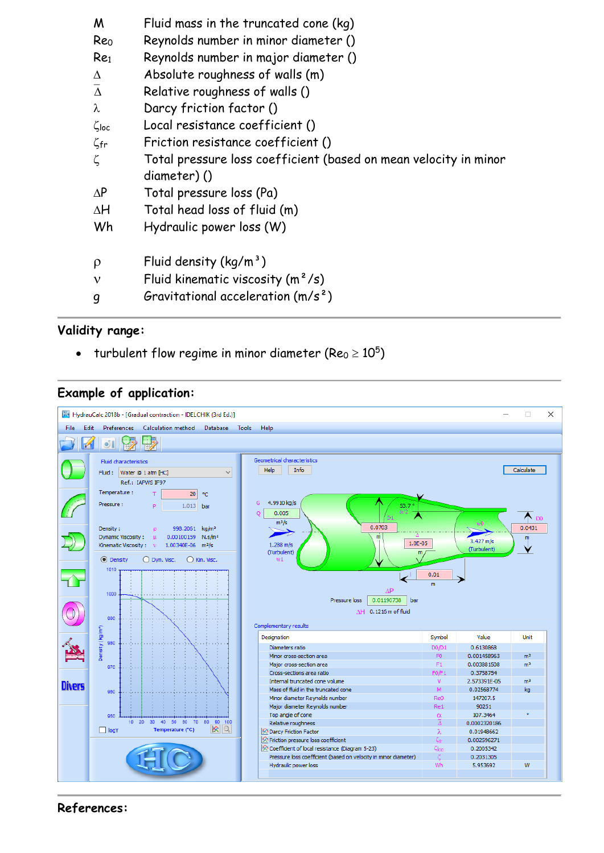| M                   | Fluid mass in the truncated cone (kg)                            |
|---------------------|------------------------------------------------------------------|
| Reo                 | Reynolds number in minor diameter ()                             |
| Re <sub>1</sub>     | Reynolds number in major diameter ()                             |
| $\Lambda$           | Absolute roughness of walls (m)                                  |
| $\overline{\Delta}$ | Relative roughness of walls ()                                   |
| λ                   | Darcy friction factor ()                                         |
| $\zeta$ loc         | Local resistance coefficient ()                                  |
| $\zeta$ fr          | Friction resistance coefficient ()                               |
| ζ                   | Total pressure loss coefficient (based on mean velocity in minor |
|                     | diameter)()                                                      |
| $\Delta P$          | Total pressure loss (Pa)                                         |
| $\Delta H$          | Total head loss of fluid (m)                                     |
| Wh                  | Hydraulic power loss (W)                                         |
|                     |                                                                  |
| $\rho$              | Fluid density $(kq/m^3)$                                         |
| ν                   | Fluid kinematic viscosity $(m^2/s)$                              |
| g                   | Gravitational acceleration $(m/s^2)$                             |

## **Validity range:**

- turbulent flow regime in minor diameter (Re $_0$   $\geq$   $10^5)$ 

## **Example of application:**